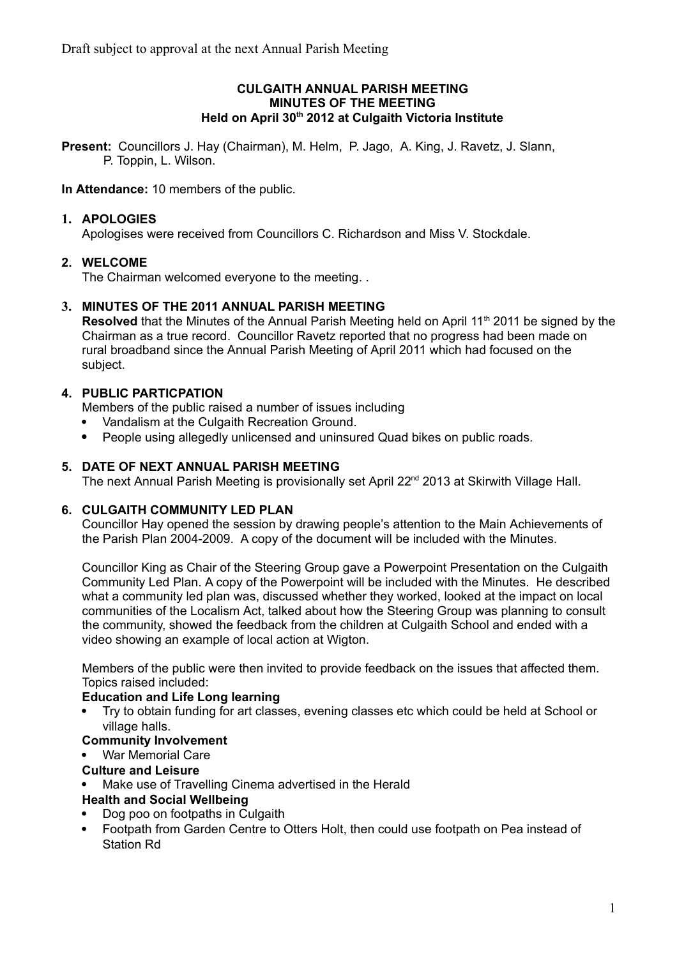#### **CULGAITH ANNUAL PARISH MEETING MINUTES OF THE MEETING Held on April 30th 2012 at Culgaith Victoria Institute**

**Present:** Councillors J. Hay (Chairman), M. Helm, P. Jago, A. King, J. Ravetz, J. Slann, P. Toppin, L. Wilson.

**In Attendance:** 10 members of the public.

## **1. APOLOGIES**

Apologises were received from Councillors C. Richardson and Miss V. Stockdale.

### **2. WELCOME**

The Chairman welcomed everyone to the meeting. .

### **3. MINUTES OF THE 2011 ANNUAL PARISH MEETING**

**Resolved** that the Minutes of the Annual Parish Meeting held on April 11<sup>th</sup> 2011 be signed by the Chairman as a true record. Councillor Ravetz reported that no progress had been made on rural broadband since the Annual Parish Meeting of April 2011 which had focused on the subject.

### **4. PUBLIC PARTICPATION**

Members of the public raised a number of issues including

- Vandalism at the Culgaith Recreation Ground.
- People using allegedly unlicensed and uninsured Quad bikes on public roads.

### **5. DATE OF NEXT ANNUAL PARISH MEETING**

The next Annual Parish Meeting is provisionally set April 22<sup>nd</sup> 2013 at Skirwith Village Hall.

### **6. CULGAITH COMMUNITY LED PLAN**

Councillor Hay opened the session by drawing people's attention to the Main Achievements of the Parish Plan 2004-2009. A copy of the document will be included with the Minutes.

Councillor King as Chair of the Steering Group gave a Powerpoint Presentation on the Culgaith Community Led Plan. A copy of the Powerpoint will be included with the Minutes. He described what a community led plan was, discussed whether they worked, looked at the impact on local communities of the Localism Act, talked about how the Steering Group was planning to consult the community, showed the feedback from the children at Culgaith School and ended with a video showing an example of local action at Wigton.

Members of the public were then invited to provide feedback on the issues that affected them. Topics raised included:

### **Education and Life Long learning**

 Try to obtain funding for art classes, evening classes etc which could be held at School or village halls.

## **Community Involvement**

War Memorial Care

### **Culture and Leisure**

Make use of Travelling Cinema advertised in the Herald

### **Health and Social Wellbeing**

- Dog poo on footpaths in Culgaith
- Footpath from Garden Centre to Otters Holt, then could use footpath on Pea instead of Station Rd